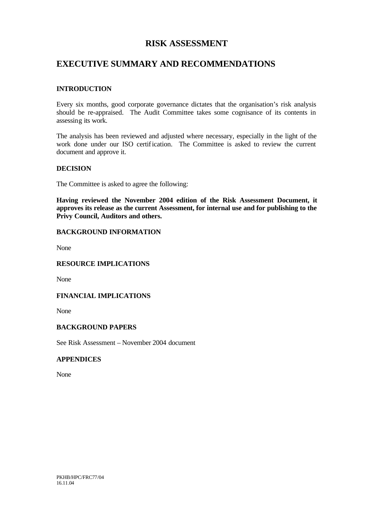# **RISK ASSESSMENT**

# **EXECUTIVE SUMMARY AND RECOMMENDATIONS**

#### **INTRODUCTION**

Every six months, good corporate governance dictates that the organisation's risk analysis should be re-appraised. The Audit Committee takes some cognisance of its contents in assessing its work.

The analysis has been reviewed and adjusted where necessary, especially in the light of the work done under our ISO certification. The Committee is asked to review the current document and approve it.

#### **DECISION**

The Committee is asked to agree the following:

**Having reviewed the November 2004 edition of the Risk Assessment Document, it approves its release as the current Assessment, for internal use and for publishing to the Privy Council, Auditors and others.**

#### **BACKGROUND INFORMATION**

None

#### **RESOURCE IMPLICATIONS**

None

#### **FINANCIAL IMPLICATIONS**

None

#### **BACKGROUND PAPERS**

See Risk Assessment – November 2004 document

#### **APPENDICES**

None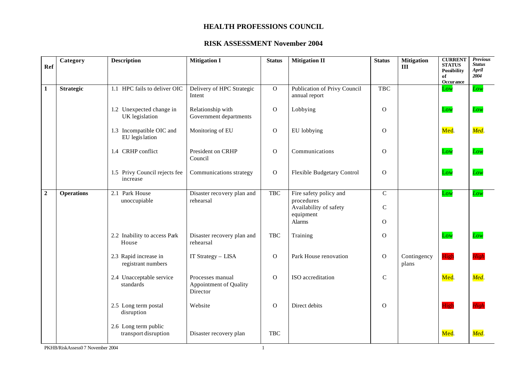| Ref            | Category          | <b>Description</b>                           | <b>Mitigation I</b>                                    | <b>Status</b> | <b>Mitigation II</b>                                                        | <b>Status</b>            | <b>Mitigation</b><br>III | <b>CURRENT</b><br><b>STATUS</b><br><b>Possibility</b><br>of<br>Occurance | <b>Previous</b><br><b>Status</b><br>April<br>2004 |
|----------------|-------------------|----------------------------------------------|--------------------------------------------------------|---------------|-----------------------------------------------------------------------------|--------------------------|--------------------------|--------------------------------------------------------------------------|---------------------------------------------------|
| $\mathbf{1}$   | <b>Strategic</b>  | 1.1 HPC fails to deliver OIC                 | Delivery of HPC Strategic<br>Intent                    | $\mathbf{O}$  | Publication of Privy Council<br>annual report                               | <b>TBC</b>               |                          | Low                                                                      | Low                                               |
|                |                   | 1.2 Unexpected change in<br>UK legislation   | Relationship with<br>Government departments            | $\mathbf{O}$  | Lobbying                                                                    | $\mathbf{O}$             |                          | Low                                                                      | Low                                               |
|                |                   | 1.3 Incompatible OIC and<br>EU legis lation  | Monitoring of EU                                       | $\mathbf{O}$  | EU lobbying                                                                 | $\Omega$                 |                          | Med.                                                                     | Med.                                              |
|                |                   | 1.4 CRHP conflict                            | President on CRHP<br>Council                           | $\mathbf{O}$  | Communications                                                              | $\mathbf O$              |                          | Low                                                                      | Low                                               |
|                |                   | 1.5 Privy Council rejects fee<br>increase    | Communications strategy                                | $\mathbf{O}$  | <b>Flexible Budgetary Control</b>                                           | $\Omega$                 |                          | Low                                                                      | Low                                               |
| $\overline{2}$ | <b>Operations</b> | 2.1 Park House<br>unoccupiable               | Disaster recovery plan and<br>rehearsal                | <b>TBC</b>    | Fire safety policy and<br>procedures<br>Availability of safety<br>equipment | $\mathbf C$<br>${\bf C}$ |                          | Low                                                                      | Low                                               |
|                |                   |                                              |                                                        |               | Alarms                                                                      | $\Omega$                 |                          |                                                                          |                                                   |
|                |                   | 2.2 Inability to access Park<br>House        | Disaster recovery plan and<br>rehearsal                | <b>TBC</b>    | Training                                                                    | $\mathbf{O}$             |                          | Low                                                                      | Low                                               |
|                |                   | 2.3 Rapid increase in<br>registrant numbers  | IT Strategy - LISA                                     | $\mathbf{O}$  | Park House renovation                                                       | $\overline{O}$           | Contingency<br>plans     | High                                                                     | High                                              |
|                |                   | 2.4 Unacceptable service<br>standards        | Processes manual<br>Appointment of Quality<br>Director | $\mathbf{O}$  | ISO accreditation                                                           | $\mathbf C$              |                          | Med.                                                                     | Med.                                              |
|                |                   | 2.5 Long term postal<br>disruption           | Website                                                | $\mathbf{O}$  | Direct debits                                                               | $\Omega$                 |                          | High                                                                     | Hieh                                              |
|                |                   | 2.6 Long term public<br>transport disruption | Disaster recovery plan                                 | <b>TBC</b>    |                                                                             |                          |                          | Med.                                                                     | Med.                                              |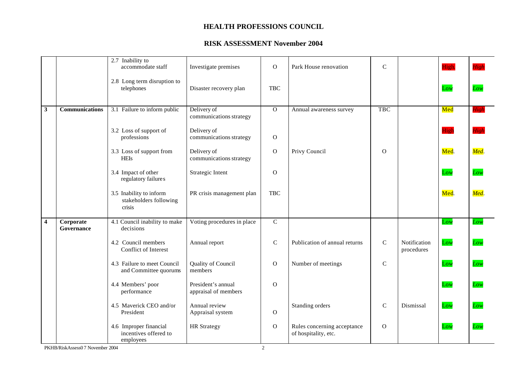### **RISK ASSESSMENT November 2004**

|                         |                         | 2.7 Inability to<br>accommodate staff                        | Investigate premises                       | $\mathbf{O}$   | Park House renovation                               | $\mathsf{C}$  |                            | High. | High |
|-------------------------|-------------------------|--------------------------------------------------------------|--------------------------------------------|----------------|-----------------------------------------------------|---------------|----------------------------|-------|------|
|                         |                         | 2.8 Long term disruption to<br>telephones                    | Disaster recovery plan                     | <b>TBC</b>     |                                                     |               |                            | Low   | Low  |
| $\mathbf{3}$            | <b>Communications</b>   | 3.1 Failure to inform public                                 | Delivery of<br>communications strategy     | $\overline{0}$ | Annual awareness survey                             | <b>TBC</b>    |                            | Med   | High |
|                         |                         | 3.2 Loss of support of<br>professions                        | Delivery of<br>communications strategy     | $\mathbf O$    |                                                     |               |                            | High  | High |
|                         |                         | 3.3 Loss of support from<br><b>HEIs</b>                      | Delivery of<br>communications strategy     | $\mathbf O$    | Privy Council                                       | $\Omega$      |                            | Med.  | Med. |
|                         |                         | 3.4 Impact of other<br>regulatory failures                   | Strategic Intent                           | $\mathbf{O}$   |                                                     |               |                            | Low   | Low  |
|                         |                         | 3.5 Inability to inform<br>stakeholders following<br>crisis  | PR crisis management plan                  | <b>TBC</b>     |                                                     |               |                            | Med.  | Med. |
| $\overline{\mathbf{4}}$ | Corporate<br>Governance | 4.1 Council inability to make<br>decisions                   | Voting procedures in place                 | $\overline{C}$ |                                                     |               |                            | Low   | Low  |
|                         |                         | 4.2 Council members<br>Conflict of Interest                  | Annual report                              | $\mathbf C$    | Publication of annual returns                       | $\mathbf C$   | Notification<br>procedures | Low   | Low  |
|                         |                         | 4.3 Failure to meet Council<br>and Committee quorums         | Quality of Council<br>members              | $\mathbf{O}$   | Number of meetings                                  | $\mathcal{C}$ |                            | Low   | Low  |
|                         |                         | 4.4 Members' poor<br>performance                             | President's annual<br>appraisal of members | $\mathbf{O}$   |                                                     |               |                            | Low   | Low  |
|                         |                         | 4.5 Maverick CEO and/or<br>President                         | Annual review<br>Appraisal system          | $\Omega$       | Standing orders                                     | $\mathbf C$   | Dismissal                  | Low   | Low  |
|                         |                         | 4.6 Improper financial<br>incentives offered to<br>employees | <b>HR</b> Strategy                         | $\mathbf O$    | Rules concerning acceptance<br>of hospitality, etc. | $\mathbf O$   |                            | Low   | Low  |

PKHB/RiskAssess0 7 November 2004 2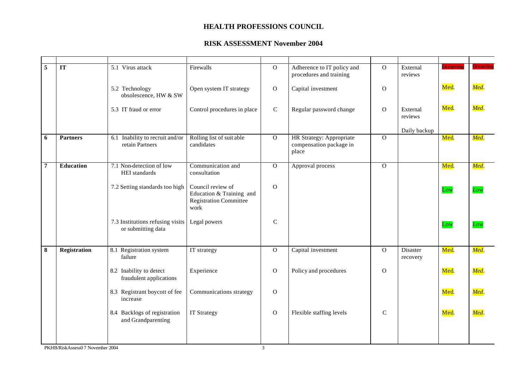| $\overline{5}$ | $\overline{\text{IT}}$ | 5.1 Virus attack                                       | Firewalls                                                                              | $\mathbf O$    | Adherence to IT policy and<br>procedures and training        | $\overline{O}$ | External<br>reviews  | <b>Occurring</b> | <b>Occurring</b> |
|----------------|------------------------|--------------------------------------------------------|----------------------------------------------------------------------------------------|----------------|--------------------------------------------------------------|----------------|----------------------|------------------|------------------|
|                |                        | 5.2 Technology<br>obsolescence, HW & SW                | Open system IT strategy                                                                | ${\rm O}$      | Capital investment                                           | $\mathbf O$    |                      | Med.             | Med.             |
|                |                        | 5.3 IT fraud or error                                  | Control procedures in place                                                            | $\mathbf C$    | Regular password change                                      | $\mathbf O$    | External<br>reviews  | Med.             | Med.             |
|                |                        |                                                        |                                                                                        |                |                                                              |                | Daily backup         |                  |                  |
| 6              | <b>Partners</b>        | 6.1 Inability to recruit and/or<br>retain Partners     | Rolling list of suitable<br>candidates                                                 | $\overline{0}$ | HR Strategy: Appropriate<br>compensation package in<br>place | $\overline{0}$ |                      | Med.             | Med.             |
| $\overline{7}$ | Education              | 7.1 Non-detection of low<br>HEI standards              | Communication and<br>consultation                                                      | $\overline{0}$ | Approval process                                             | $\mathbf{O}$   |                      | Med.             | Med.             |
|                |                        | 7.2 Setting standards too high                         | Council review of<br>Education & Training and<br><b>Registration Committee</b><br>work | $\overline{O}$ |                                                              |                |                      | Low              | Low              |
|                |                        | 7.3 Institutions refusing visits<br>or submitting data | Legal powers                                                                           | $\mathcal{C}$  |                                                              |                |                      | Low              | Low              |
| 8              | <b>Registration</b>    | 8.1 Registration system<br>failure                     | IT strategy                                                                            | $\mathbf{O}$   | Capital investment                                           | $\overline{O}$ | Disaster<br>recovery | Med.             | Med.             |
|                |                        | 8.2 Inability to detect<br>fraudulent applications     | Experience                                                                             | $\mathbf{O}$   | Policy and procedures                                        | $\mathbf O$    |                      | Med.             | Med.             |
|                |                        | 8.3 Registrant boycott of fee<br>increase              | Communications strategy                                                                | $\mathbf{O}$   |                                                              |                |                      | Med.             | Med.             |
|                |                        | 8.4 Backlogs of registration<br>and Grandparenting     | <b>IT Strategy</b>                                                                     | $\mathbf{O}$   | Flexible staffing levels                                     | $\mathbf C$    |                      | Med.             | Med.             |
|                |                        |                                                        |                                                                                        |                |                                                              |                |                      |                  |                  |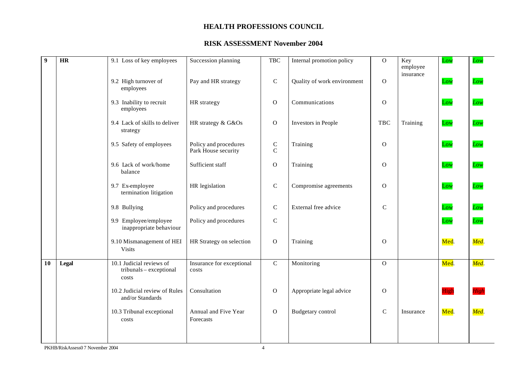| $\overline{9}$ | $\overline{\text{HR}}$ | 9.1 Loss of key employees                                    | Succession planning                          | <b>TBC</b>                | Internal promotion policy   | $\mathbf{O}$ | Key                   | Low  | Low  |
|----------------|------------------------|--------------------------------------------------------------|----------------------------------------------|---------------------------|-----------------------------|--------------|-----------------------|------|------|
|                |                        | 9.2 High turnover of<br>employees                            | Pay and HR strategy                          | ${\bf C}$                 | Quality of work environment | $\mathbf O$  | employee<br>insurance | Low  | Low  |
|                |                        | 9.3 Inability to recruit<br>employees                        | HR strategy                                  | $\mathbf{O}$              | Communications              | $\mathbf{O}$ |                       | Low  | Low  |
|                |                        | 9.4 Lack of skills to deliver<br>strategy                    | HR strategy & G&Os                           | $\mathbf O$               | Investors in People         | <b>TBC</b>   | Training              | Low  | Low  |
|                |                        | 9.5 Safety of employees                                      | Policy and procedures<br>Park House security | ${\bf C}$<br>$\mathsf{C}$ | Training                    | $\mathbf{O}$ |                       | Low  | Low  |
|                |                        | 9.6 Lack of work/home<br>balance                             | Sufficient staff                             | $\mathbf O$               | Training                    | $\mathbf{O}$ |                       | Low  | Low  |
|                |                        | 9.7 Ex-employee<br>termination litigation                    | HR legislation                               | ${\bf C}$                 | Compromise agreements       | $\mathbf{O}$ |                       | Low  | Low  |
|                |                        | 9.8 Bullying                                                 | Policy and procedures                        | $\mathsf C$               | External free advice        | $\mathbf C$  |                       | Low  | Low  |
|                |                        | 9.9 Employee/employee<br>inappropriate behaviour             | Policy and procedures                        | $\mathbf C$               |                             |              |                       | Low  | Low  |
|                |                        | 9.10 Mismanagement of HEI<br><b>Visits</b>                   | HR Strategy on selection                     | $\mathbf O$               | Training                    | $\mathbf O$  |                       | Med. | Med. |
| 10             | Legal                  | 10.1 Judicial reviews of<br>tribunals - exceptional<br>costs | Insurance for exceptional<br>costs           | $\mathcal{C}$             | Monitoring                  | $\mathbf{O}$ |                       | Med. | Med. |
|                |                        | 10.2 Judicial review of Rules<br>and/or Standards            | Consultation                                 | $\mathbf{O}$              | Appropriate legal advice    | $\mathbf{O}$ |                       | High | High |
|                |                        | 10.3 Tribunal exceptional<br>costs                           | Annual and Five Year<br>Forecasts            | $\mathbf O$               | Budgetary control           | $\mathbf C$  | Insurance             | Med. | Med. |
|                |                        |                                                              |                                              |                           |                             |              |                       |      |      |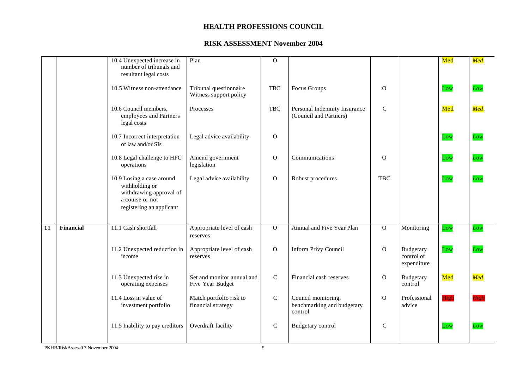|                 |                  | 10.4 Unexpected increase in<br>number of tribunals and<br>resultant legal costs                                       | Plan                                             | $\Omega$       |                                                              |               |                                        | Med.        | Med. |
|-----------------|------------------|-----------------------------------------------------------------------------------------------------------------------|--------------------------------------------------|----------------|--------------------------------------------------------------|---------------|----------------------------------------|-------------|------|
|                 |                  | 10.5 Witness non-attendance                                                                                           | Tribunal questionnaire<br>Witness support policy | <b>TBC</b>     | Focus Groups                                                 | $\mathbf{O}$  |                                        | Low         | Low  |
|                 |                  | 10.6 Council members,<br>employees and Partners<br>legal costs                                                        | Processes                                        | <b>TBC</b>     | Personal Indemnity Insurance<br>(Council and Partners)       | $\mathbf C$   |                                        | Med.        | Med. |
|                 |                  | 10.7 Incorrect interpretation<br>of law and/or SIs                                                                    | Legal advice availability                        | $\mathbf{O}$   |                                                              |               |                                        | Low         | Low  |
|                 |                  | 10.8 Legal challenge to HPC<br>operations                                                                             | Amend government<br>legislation                  | $\Omega$       | Communications                                               | $\Omega$      |                                        | Low         | Low  |
|                 |                  | 10.9 Losing a case around<br>withholding or<br>withdrawing approval of<br>a course or not<br>registering an applicant | Legal advice availability                        | $\mathbf{O}$   | Robust procedures                                            | <b>TBC</b>    |                                        | Low         | Low  |
| $\overline{11}$ | <b>Financial</b> | 11.1 Cash shortfall                                                                                                   | Appropriate level of cash<br>reserves            | $\Omega$       | Annual and Five Year Plan                                    | $\mathbf{O}$  | Monitoring                             | Low         | Low  |
|                 |                  | 11.2 Unexpected reduction in<br>income                                                                                | Appropriate level of cash<br>reserves            | $\overline{O}$ | <b>Inform Privy Council</b>                                  | $\Omega$      | Budgetary<br>control of<br>expenditure | Low         | Low  |
|                 |                  | 11.3 Unexpected rise in<br>operating expenses                                                                         | Set and monitor annual and<br>Five Year Budget   | $\mathbf C$    | Financial cash reserves                                      | $\mathcal{O}$ | Budgetary<br>control                   | Med.        | Med. |
|                 |                  | 11.4 Loss in value of<br>investment portfolio                                                                         | Match portfolio risk to<br>financial strategy    | $\mathbf C$    | Council monitoring,<br>benchmarking and budgetary<br>control | $\mathbf{O}$  | Professional<br>advice                 | <b>High</b> | Hiol |
|                 |                  | 11.5 Inability to pay creditors                                                                                       | Overdraft facility                               | $\mathbf C$    | Budgetary control                                            | $\mathbf C$   |                                        | Low         | Lou  |